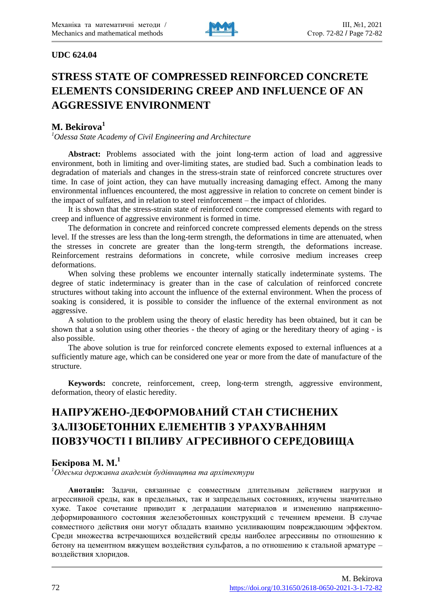

#### **UDC 624.04**

# **STRESS STATE OF COMPRESSED REINFORCED CONCRETE ELEMENTS CONSIDERING CREEP AND INFLUENCE OF AN AGGRESSIVE ENVIRONMENT**

## **M. Bekirova<sup>1</sup>**

*<sup>1</sup>Odessa State Academy of Civil Engineering and Architecture*

**Abstract:** Problems associated with the joint long-term action of load and aggressive environment, both in limiting and over-limiting states, are studied bad. Such a combination leads to degradation of materials and changes in the stress-strain state of reinforced concrete structures over time. In case of joint action, they can have mutually increasing damaging effect. Among the many environmental influences encountered, the most aggressive in relation to concrete on cement binder is the impact of sulfates, and in relation to steel reinforcement – the impact of chlorides.

It is shown that the stress-strain state of reinforced concrete compressed elements with regard to creep and influence of aggressive environment is formed in time.

The deformation in concrete and reinforced concrete compressed elements depends on the stress level. If the stresses are less than the long-term strength, the deformations in time are attenuated, when the stresses in concrete are greater than the long-term strength, the deformations increase. Reinforcement restrains deformations in concrete, while corrosive medium increases creep deformations.

When solving these problems we encounter internally statically indeterminate systems. The degree of static indeterminacy is greater than in the case of calculation of reinforced concrete structures without taking into account the influence of the external environment. When the process of soaking is considered, it is possible to consider the influence of the external environment as not aggressive.

A solution to the problem using the theory of elastic heredity has been obtained, but it can be shown that a solution using other theories - the theory of aging or the hereditary theory of aging - is also possible.

The above solution is true for reinforced concrete elements exposed to external influences at a sufficiently mature age, which can be considered one year or more from the date of manufacture of the structure.

**Keywords:** concrete, reinforcement, creep, long-term strength, aggressive environment, deformation, theory of elastic heredity.

# **НАПРУЖЕНО-ДЕФОРМОВАНИЙ СТАН СТИСНЕНИХ ЗАЛІЗОБЕТОННИХ ЕЛЕМЕНТІВ З УРАХУВАННЯМ ПОВЗУЧОСТІ І ВПЛИВУ АГРЕСИВНОГО СЕРЕДОВИЩА**

# **Бекірова М. М. 1**

*<sup>1</sup>Одеська державна академія будівництва та архітектури*

**Анотація:** Задачи, связанные с совместным длительным действием нагрузки и агрессивной среды, как в предельных, так и запредельных состояниях, изучены значительно хуже. Такое сочетание приводит к деградации материалов и изменению напряженнодеформированного состояния железобетонных конструкций с течением времени. В случае совместного действия они могут обладать взаимно усиливающим повреждающим эффектом. Среди множества встречающихся воздействий среды наиболее агрессивны по отношению к бетону на цементном вяжущем воздействия сульфатов, а по отношению к стальной арматуре – воздействия хлоридов.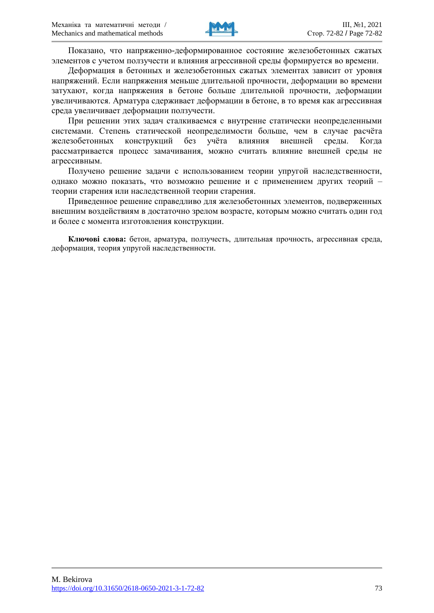

Показано, что напряженно-деформированное состояние железобетонных сжатых элементов с учетом ползучести и влияния агрессивной среды формируется во времени.

Деформация в бетонных и железобетонных сжатых элементах зависит от уровня напряжений. Если напряжения меньше длительной прочности, деформации во времени затухают, когда напряжения в бетоне больше длительной прочности, деформации увеличиваются. Арматура сдерживает деформации в бетоне, в то время как агрессивная среда увеличивает деформации ползучести.

При решении этих задач сталкиваемся с внутренне статически неопределенными системами. Степень статической неопределимости больше, чем в случае расчѐта железобетонных конструкций без учѐта влияния внешней среды. Когда рассматривается процесс замачивания, можно считать влияние внешней среды не агрессивным.

Получено решение задачи с использованием теории упругой наследственности, однако можно показать, что возможно решение и с применением других теорий – теории старения или наследственной теории старения.

Приведенное решение справедливо для железобетонных элементов, подверженных внешним воздействиям в достаточно зрелом возрасте, которым можно считать один год и более с момента изготовления конструкции.

**Ключові слова:** бетон, арматура, ползучесть, длительная прочность, агрессивная среда, деформация, теория упругой наследственности.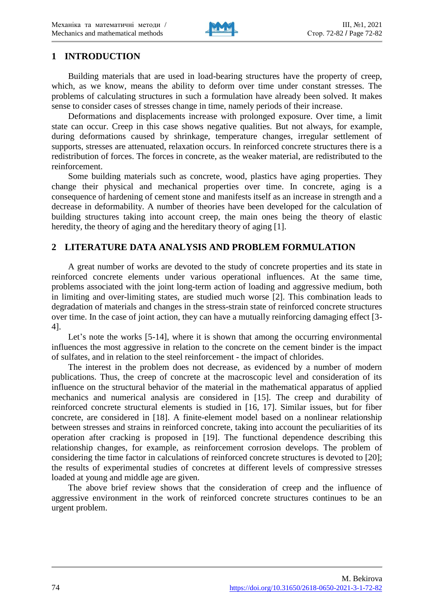

# **1 INTRODUCTION**

Building materials that are used in load-bearing structures have the property of creep, which, as we know, means the ability to deform over time under constant stresses. The problems of calculating structures in such a formulation have already been solved. It makes sense to consider cases of stresses change in time, namely periods of their increase.

Deformations and displacements increase with prolonged exposure. Over time, a limit state can occur. Creep in this case shows negative qualities. But not always, for example, during deformations caused by shrinkage, temperature changes, irregular settlement of supports, stresses are attenuated, relaxation occurs. In reinforced concrete structures there is a redistribution of forces. The forces in concrete, as the weaker material, are redistributed to the reinforcement.

Some building materials such as concrete, wood, plastics have aging properties. They change their physical and mechanical properties over time. In concrete, aging is a consequence of hardening of cement stone and manifests itself as an increase in strength and a decrease in deformability. A number of theories have been developed for the calculation of building structures taking into account creep, the main ones being the theory of elastic heredity, the theory of aging and the hereditary theory of aging [1].

### **2 LITERATURE DATA ANALYSIS AND PROBLEM FORMULATION**

A great number of works are devoted to the study of concrete properties and its state in reinforced concrete elements under various operational influences. At the same time, problems associated with the joint long-term action of loading and aggressive medium, both in limiting and over-limiting states, are studied much worse [2]. This combination leads to degradation of materials and changes in the stress-strain state of reinforced concrete structures over time. In the case of joint action, they can have a mutually reinforcing damaging effect [3- 4].

Let's note the works [5-14], where it is shown that among the occurring environmental influences the most aggressive in relation to the concrete on the cement binder is the impact of sulfates, and in relation to the steel reinforcement - the impact of chlorides.

The interest in the problem does not decrease, as evidenced by a number of modern publications. Thus, the creep of concrete at the macroscopic level and consideration of its influence on the structural behavior of the material in the mathematical apparatus of applied mechanics and numerical analysis are considered in [15]. The creep and durability of reinforced concrete structural elements is studied in [16, 17]. Similar issues, but for fiber concrete, are considered in [18]. A finite-element model based on a nonlinear relationship between stresses and strains in reinforced concrete, taking into account the peculiarities of its operation after cracking is proposed in [19]. The functional dependence describing this relationship changes, for example, as reinforcement corrosion develops. The problem of considering the time factor in calculations of reinforced concrete structures is devoted to [20]; the results of experimental studies of concretes at different levels of compressive stresses loaded at young and middle age are given.

The above brief review shows that the consideration of creep and the influence of aggressive environment in the work of reinforced concrete structures continues to be an urgent problem.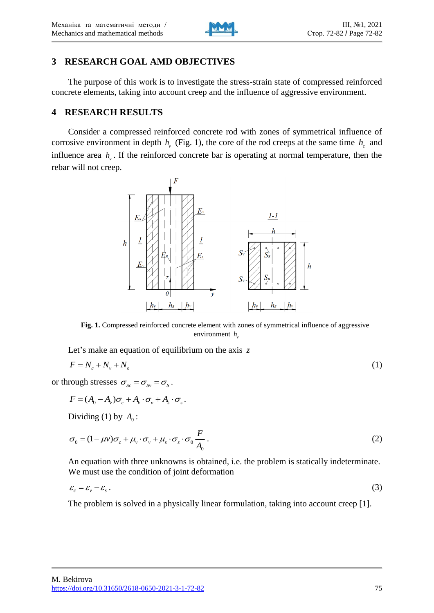

# **3 RESEARCH GOAL AMD OBJECTIVES**

The purpose of this work is to investigate the stress-strain state of compressed reinforced concrete elements, taking into account creep and the influence of aggressive environment.

## **4 RESEARCH RESULTS**

Consider a compressed reinforced concrete rod with zones of symmetrical influence of corrosive environment in depth  $h<sub>v</sub>$  (Fig. 1), the core of the rod creeps at the same time  $h<sub>c</sub>$  and influence area  $h_{\nu}$ . If the reinforced concrete bar is operating at normal temperature, then the rebar will not creep.



**Fig. 1.** Compressed reinforced concrete element with zones of symmetrical influence of aggressive environment  $h$ <sub>*v*</sub>

Let's make an equation of equilibrium on the axis *z*

$$
F = N_c + N_v + N_s \tag{1}
$$

or through stresses  $\sigma_{S_c} = \sigma_{S_v} = \sigma_S$ .

$$
F = (A_0 - A_\nu)\sigma_c + A_\nu \cdot \sigma_\nu + A_s \cdot \sigma_s.
$$

Dividing (1) by  $A_0$ :

$$
\sigma_0 = (1 - \mu v)\sigma_c + \mu_v \cdot \sigma_v + \mu_s \cdot \sigma_s \cdot \sigma_0 \frac{F}{A_0} \,. \tag{2}
$$

An equation with three unknowns is obtained, i.e. the problem is statically indeterminate. We must use the condition of joint deformation

$$
\varepsilon_c = \varepsilon_v - \varepsilon_s \,. \tag{3}
$$

The problem is solved in a physically linear formulation, taking into account creep [1].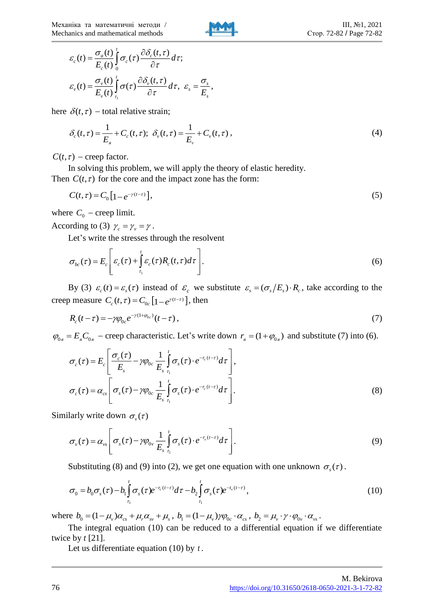

$$
\varepsilon_c(t) = \frac{\sigma_a(t)}{E_c(t)} \int_0^t \sigma_c(\tau) \frac{\partial \delta_c(t,\tau)}{\partial \tau} d\tau;
$$
\n
$$
\varepsilon_v(t) = \frac{\sigma_v(t)}{E_v(t)} \int_{\tau_0}^t \sigma(\tau) \frac{\partial \delta_v(t,\tau)}{\partial \tau} d\tau, \ \varepsilon_s = \frac{\sigma_s}{E_s},
$$

here  $\delta(t, \tau)$  – total relative strain;

$$
\delta_c(t,\tau) = \frac{1}{E_s} + C_c(t,\tau); \ \delta_v(t,\tau) = \frac{1}{E_v} + C_v(t,\tau) \,, \tag{4}
$$

 $C(t, \tau)$  – creep factor.

In solving this problem, we will apply the theory of elastic heredity. Then  $C(t, \tau)$  for the core and the impact zone has the form:

$$
C(t,\tau) = C_0 \left[ 1 - e^{-\gamma(t-\tau)} \right],\tag{5}
$$

where  $C_0$  – creep limit.

According to (3)  $\gamma_c = \gamma_v = \gamma$ .

Let's write the stresses through the resolvent

$$
\sigma_{bc}(\tau) = E_c \left[ \varepsilon_c(\tau) + \int_{\tau_1}^t \varepsilon_c(\tau) R_c(t, \tau) d\tau \right]. \tag{6}
$$

By (3)  $\varepsilon_c(t) = \varepsilon_s(\tau)$  instead of  $\varepsilon_c$  we substitute  $\varepsilon_s = (\sigma_s/E_s) \cdot R_c$ , take according to the creep measure  $C_c(t, \tau) = C_{0c} \left[1 - e^{\gamma(t-\tau)}\right]$ , then

$$
R_c(t-\tau) = -\gamma \varphi_{0c} e^{-\gamma(1+\varphi_{0c})}(t-\tau) , \qquad (7)
$$

 $\varphi_{0a} = E_a C_{0a}$  – creep characteristic. Let's write down  $r_a = (1 + \varphi_{0a})$  and substitute (7) into (6).

$$
\sigma_c(\tau) = E_c \left[ \frac{\sigma_c(\tau)}{E_s} - \gamma \varphi_{0c} \frac{1}{E_s} \int_{\tau_1}^t \sigma_s(\tau) \cdot e^{-r_c(t-\tau)} d\tau \right],
$$
  

$$
\sigma_c(\tau) = \alpha_{cs} \left[ \sigma_s(\tau) - \gamma \varphi_{0c} \frac{1}{E_s} \int_{\tau_1}^t \sigma_s(\tau) \cdot e^{-r_c(t-\tau)} d\tau \right].
$$
 (8)

Similarly write down  $\sigma_{\nu}(\tau)$ 

$$
\sigma_{v}(\tau) = \alpha_{vs} \left[ \sigma_{s}(\tau) - \gamma \varphi_{0v} \frac{1}{E_{s}} \int_{\tau_{1}}^{t} \sigma_{s}(\tau) \cdot e^{-r_{v}(t-\tau)} d\tau \right]. \tag{9}
$$

Substituting (8) and (9) into (2), we get one equation with one unknown  $\sigma_s(\tau)$ .

$$
\sigma_0 = b_0 \sigma_s(\tau) - b_1 \int_{\tau_1}^t \sigma_s(\tau) e^{-r_c(t-\tau)} d\tau - b_2 \int_{\tau_1}^t \sigma_s(\tau) e^{-t_v(t-\tau)}, \tag{10}
$$

where  $b_0 = (1 - \mu_v)\alpha_{cs} + \mu_v \alpha_{sv} + \mu_s$ ,  $b_1 = (1 - \mu_v)\gamma \varphi_{0c} \cdot \alpha_{cs}$ ,  $b_2 = \mu_v \cdot \gamma \cdot \varphi_{0v} \cdot \alpha_{vs}$ .

The integral equation (10) can be reduced to a differential equation if we differentiate twice by *t* [21].

Let us differentiate equation (10) by *t* .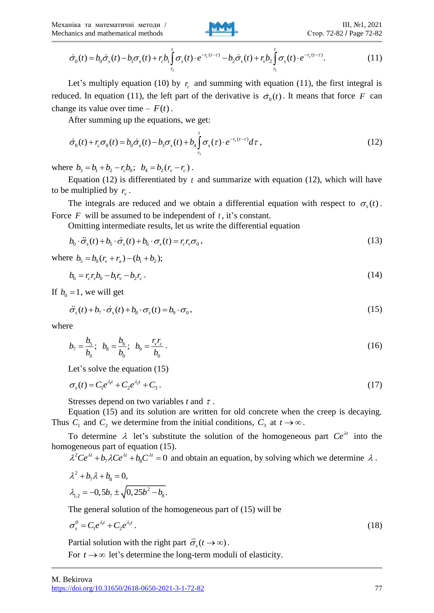

$$
\dot{\sigma}_0(t) = b_0 \dot{\sigma}_s(t) - b_1 \sigma_s(t) + r_c b_1 \int_{\tau_1}^t \sigma_s(t) \cdot e^{-r_c(t-\tau)} - b_2 \dot{\sigma}_s(t) + r_v b_2 \int_{\tau_1}^t \sigma_s(t) \cdot e^{-r_v(t-\tau)}.
$$
\n(11)

Let's multiply equation (10) by  $r_c$  and summing with equation (11), the first integral is reduced. In equation (11), the left part of the derivative is  $\dot{\sigma}_0(t)$ . It means that force F can change its value over time  $- F(t)$ .

After summing up the equations, we get:

$$
\dot{\sigma}_0(t) + r_c \sigma_0(t) = b_0 \dot{\sigma}_s(t) - b_3 \sigma_s(t) + b_4 \int_{\tau_1}^t \sigma_s(\tau) \cdot e^{-r_v(t-\tau)} d\tau , \qquad (12)
$$

where  $b_3 = b_1 + b_2 - r_c b_0$ ;  $b_4 = b_2 (r_v - r_c)$ .

Equation  $(12)$  is differentiated by t and summarize with equation  $(12)$ , which will have to be multiplied by  $r_{\nu}$ .

The integrals are reduced and we obtain a differential equation with respect to  $\sigma_s(t)$ . Force  $F$  will be assumed to be independent of  $t$ , it's constant.

Omitting intermediate results, let us write the differential equation

$$
b_0 \cdot \ddot{\sigma}_s(t) + b_s \cdot \dot{\sigma}_s(t) + b_6 \cdot \sigma_s(t) = r_c r_v \sigma_0,
$$
\n(13)

where  $b_5 = b_0 (r_v + r_a) - (b_1 + b_2);$ 

$$
b_6 = r_c r_v b_0 - b_1 r_v - b_2 r_c \,. \tag{14}
$$

If  $b_0 = 1$ , we will get

$$
\ddot{\sigma}_s(t) + b_\gamma \cdot \dot{\sigma}_s(t) + b_8 \cdot \sigma_s(t) = b_9 \cdot \sigma_0,
$$
\n(15)

where

$$
b_7 = \frac{b_5}{b_0}; \ \ b_8 = \frac{b_6}{b_0}; \ \ b_9 = \frac{r_v r_c}{b_0} \,. \tag{16}
$$

Let's solve the equation (15)

$$
\sigma_s(t) = C_1 e^{\lambda_1 t} + C_2 e^{\lambda_2 t} + C_3. \tag{17}
$$

Stresses depend on two variables  $t$  and  $\tau$ .

Equation (15) and its solution are written for old concrete when the creep is decaying. Thus  $C_1$  and  $C_2$  we determine from the initial conditions,  $C_3$  at  $t \to \infty$ .

To determine  $\lambda$  let's substitute the solution of the homogeneous part  $Ce^{\lambda t}$  into the homogeneous part of equation (15).

 $\lambda^2 Ce^{\lambda t} + b_7 \lambda Ce^{\lambda t} + b_8 C^{\lambda t} = 0$  and obtain an equation, by solving which we determine  $\lambda$ .

$$
\lambda^2 + b_7 \lambda + b_8 = 0,
$$
  

$$
\lambda_{1,2} = -0.5b_7 \pm \sqrt{0.25b^2 - b_8}.
$$

The general solution of the homogeneous part of (15) will be

$$
\sigma_s^0 = C_1 e^{\lambda_1 t} + C_2 e^{\lambda_2 t} \,. \tag{18}
$$

Partial solution with the right part  $\overline{\sigma}_s(t \to \infty)$ .

For  $t \rightarrow \infty$  let's determine the long-term moduli of elasticity.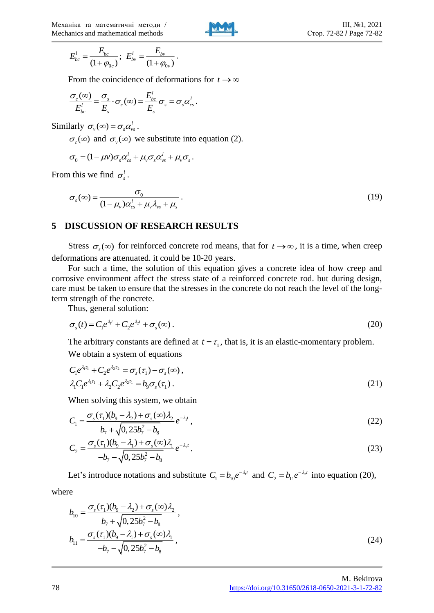

$$
E_{bc}^l = \frac{E_{bc}}{(1 + \varphi_{0c})}; \ \ E_{bv}^l = \frac{E_{bv}}{(1 + \varphi_{0v})}.
$$

From the coincidence of deformations for  $t \to \infty$ 

$$
\frac{\sigma_c(\infty)}{E_{bc}^l} = \frac{\sigma_s}{E_s} \cdot \sigma_c(\infty) = \frac{E_{bc}^l}{E_s} \sigma_s = \sigma_s \alpha_{cs}^l.
$$

Similarly  $\sigma_{v}(\infty) = \sigma_{s} \alpha_{vs}^{l}$ .

 $\sigma_c(\infty)$  and  $\sigma_v(\infty)$  we substitute into equation (2).

$$
\sigma_0 = (1 - \mu v) \sigma_s \alpha_{cs}^l + \mu_v \sigma_s \alpha_{vs}^l + \mu_v \sigma_s.
$$

From this we find  $\sigma_s^l$ .

$$
\sigma_s(\infty) = \frac{\sigma_0}{(1 - \mu_v)\alpha_{cs}^l + \mu_v\lambda_{vs} + \mu_s} \,. \tag{19}
$$

#### **5 DISCUSSION OF RESEARCH RESULTS**

Stress  $\sigma_s(\infty)$  for reinforced concrete rod means, that for  $t \to \infty$ , it is a time, when creep deformations are attenuated. it could be 10-20 years.

For such a time, the solution of this equation gives a concrete idea of how creep and corrosive environment affect the stress state of a reinforced concrete rod. but during design, care must be taken to ensure that the stresses in the concrete do not reach the level of the longterm strength of the concrete.

Thus, general solution:

$$
\sigma_s(t) = C_1 e^{\lambda_1 t} + C_2 e^{\lambda_2 t} + \sigma_s(\infty). \tag{20}
$$

The arbitrary constants are defined at  $t = \tau_1$ , that is, it is an elastic-momentary problem. We obtain a system of equations

$$
C_1 e^{\lambda_1 \tau_1} + C_2 e^{\lambda_2 \tau_2} = \sigma_s(\tau_1) - \sigma_s(\infty),
$$
  
\n
$$
\lambda_1 C_1 e^{\lambda_1 \tau_1} + \lambda_2 C_2 e^{\lambda_2 \tau_1} = b_9 \sigma_s(\tau_1).
$$
\n(21)

When solving this system, we obtain

$$
C_1 = \frac{\sigma_s(\tau_1)(b_9 - \lambda_2) + \sigma_s(\infty)\lambda_2}{b_7 + \sqrt{0, 25b_7^2 - b_8}} e^{-\lambda_1 t},
$$
\n(22)

$$
C_2 = \frac{\sigma_s(\tau_1)(b_9 - \lambda_1) + \sigma_s(\infty)\lambda_1}{-b_7 - \sqrt{0, 25b_7^2 - b_8}} e^{-\lambda_2 t}.
$$
\n(23)

Let's introduce notations and substitute  $C_1 = b_{10}e^{-\lambda_1 t}$  and  $C_2 = b_{11}e^{-\lambda_2 t}$  into equation (20),

where

$$
b_{10} = \frac{\sigma_s(\tau_1)(b_9 - \lambda_2) + \sigma_s(\infty)\lambda_2}{b_7 + \sqrt{0, 25b_7^2 - b_8}}, b_{11} = \frac{\sigma_s(\tau_1)(b_9 - \lambda_1) + \sigma_s(\infty)\lambda_1}{-b_7 - \sqrt{0, 25b_7^2 - b_8}},
$$
(24)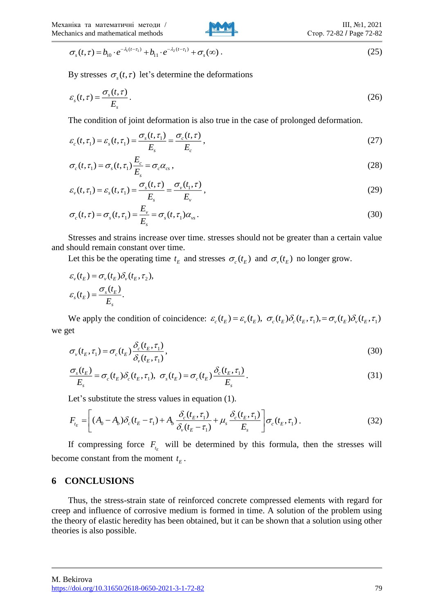Стор. 72-82 / Page 72-82

III,  $N_2$ 1, 2021

By stresses  $\sigma_s(t, \tau)$  let's determine the deformations

$$
\varepsilon_{s}(t,\tau) = \frac{\sigma_{s}(t,\tau)}{E_{s}}.
$$
\n(26)

The condition of joint deformation is also true in the case of prolonged deformation.

$$
\varepsilon_c(t,\tau_1) = \varepsilon_s(t,\tau_1) = \frac{\sigma_s(t,\tau_1)}{E_s} = \frac{\sigma_c(t,\tau)}{E_c},
$$
\n(27)

$$
\sigma_c(t,\tau_1) = \sigma_s(t,\tau_1) \frac{E_c}{E_s} = \sigma_c \alpha_{cs},
$$
\n(28)

$$
\varepsilon_{\nu}(t,\tau_1) = \varepsilon_{\rm s}(t,\tau_1) = \frac{\sigma_{\rm s}(t,\tau)}{E_{\rm s}} = \frac{\sigma_{\nu}(t_1,\tau)}{E_{\nu}},\tag{29}
$$

$$
\sigma_c(t,\tau) = \sigma_s(t,\tau_1) = \frac{E_v}{E_s} = \sigma_s(t,\tau_1)\alpha_{vs}.
$$
\n(30)

Stresses and strains increase over time. stresses should not be greater than a certain value and should remain constant over time.

Let this be the operating time  $t_E$  and stresses  $\sigma_c(t_E)$  and  $\sigma_v(t_E)$  no longer grow.

$$
\varepsilon_{v}(t_{E}) = \sigma_{v}(t_{E})\delta_{v}(t_{E}, \tau_{2}),
$$

$$
\varepsilon_{s}(t_{E}) = \frac{\sigma_{s}(t_{E})}{E_{s}}.
$$

We apply the condition of coincidence:  $\varepsilon_c(t_E) = \varepsilon_v(t_E)$ ,  $\sigma_c(t_E) \delta_c(t_E, \tau_1) = \sigma_v(t_E) \delta_v(t_E, \tau_1)$ we get

$$
\sigma_{\nu}(t_E, \tau_1) = \sigma_c(t_E) \frac{\delta_c(t_E, \tau_1)}{\delta_{\nu}(t_E, \tau_1)},
$$
\n(30)

$$
\frac{\sigma_s(t_E)}{E_s} = \sigma_c(t_E)\delta_c(t_E, \tau_1), \ \sigma_s(t_E) = \sigma_c(t_E)\frac{\delta_c(t_E, \tau_1)}{E_s}.
$$
\n(31)

Let's substitute the stress values in equation (1).

$$
F_{t_E} = \left[ (A_0 - A_b) \delta_c (t_E - \tau_1) + A_b \frac{\delta_c (t_E, \tau_1)}{\delta_v (t_E - \tau_1)} + \mu_s \frac{\delta_c (t_E, \tau_1)}{E_s} \right] \sigma_c (t_E, \tau_1).
$$
\n(32)

If compressing force  $F_{t_{k}}$  will be determined by this formula, then the stresses will become constant from the moment  $t<sub>E</sub>$ .

#### **6 CONCLUSIONS**

 $\sigma_x(t, t) = h_0 \cdot e^{-i(\omega - t_1)} + h_1 \cdot e^{-i(\omega - t_1)} + \sigma_x(\omega)$ .<br>
By stresses  $\sigma_x(t, t)$  bet's determine the definimations<br>  $\nu_x(t, t) = \frac{\sigma_x(t, t)}{L}$ .<br>
The condition of foir of definition is also true in the case of probonged deformation.<br> Thus, the stress-strain state of reinforced concrete compressed elements with regard for creep and influence of corrosive medium is formed in time. A solution of the problem using the theory of elastic heredity has been obtained, but it can be shown that a solution using other theories is also possible.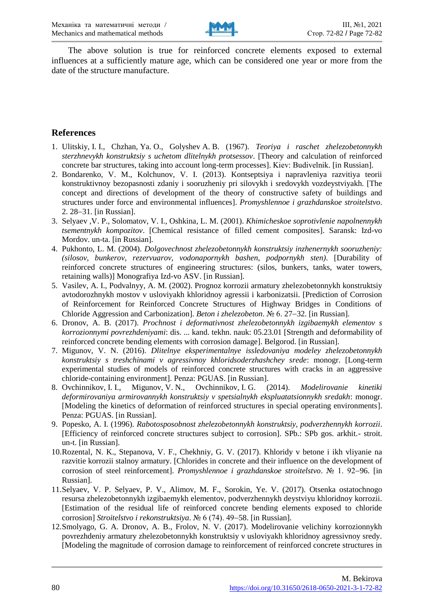

The above solution is true for reinforced concrete elements exposed to external influences at a sufficiently mature age, which can be considered one year or more from the date of the structure manufacture.

## **References**

- 1. Ulitskiy, I. I., Chzhan, Ya. O., Golyshev A. B. (1967). *Teoriya i raschet zhelezobetonnykh sterzhnevykh konstruktsiy s uchetom dlitelnykh protsessov*. [Theory and calculation of reinforced concrete bar structures, taking into account long-term processes]. Kiev: Budіvelnik. [in Russian].
- 2. Bondarenko, V. M., Kolchunov, V. I. (2013). Kontseptsiya i napravleniya razvitiya teorii konstruktivnoy bezopasnosti zdaniy i sooruzheniy pri silovykh i sredovykh vozdeystviyakh. [The concept and directions of development of the theory of constructive safety of buildings and structures under force and environmental influences]. *Promyshlennoe i grazhdanskoe stroitelstvo*. 2. 28-31. [in Russian].
- 3. Selyaev ,V. P., Solomatov, V. I., Oshkina, L. M. (2001). *Khimicheskoe soprotivlenie napolnennykh tsementnykh kompozitov*. [Chemical resistance of filled cement composites]. Saransk: Izd-vo Mordov. un-ta. [in Russian].
- 4. Pukhonto, L. M. (2004). *Dolgovechnost zhelezobetonnykh konstruktsiy inzhenernykh sooruzheniy: (silosov, bunkerov, rezervuarov, vodonapornykh bashen, podpornykh sten)*. [Durability of reinforced concrete structures of engineering structures: (silos, bunkers, tanks, water towers, retaining walls)] Monografiya Izd-vo ASV. [in Russian].
- 5. Vasilev, A. I., Podvalnyy, A. M. (2002). Prognoz korrozii armatury zhelezobetonnykh konstruktsiy avtodorozhnykh mostov v usloviyakh khloridnoy agressii i karbonizatsii. [Prediction of Corrosion of Reinforcement for Reinforced Concrete Structures of Highway Bridges in Conditions of Chloride Aggression and Carbonization]. *Beton i zhelezobeton*. *№ 6. 27–32*. [in Russian].
- 6. Dronov, A. B. (2017). *Prochnost i deformativnost zhelezobetonnykh izgibaemykh elementov s korrozionnymi povrezhdeniyami*: dis. ... kand. tekhn. nauk: 05.23.01 [Strength and deformability of reinforced concrete bending elements with corrosion damage]. Belgorod. [in Russian].
- 7. Migunov, V. N. (2016). *Dlitelnye eksperimentalnye issledovaniya modeley zhelezobetonnykh konstruktsiy s treshchinami v agressivnoy khloridsoderzhashchey srede*: monogr. [Long-term experimental studies of models of reinforced concrete structures with cracks in an aggressive chloride-containing environment]. Penza: PGUAS. [in Russian].
- 8. Ovchinnikov, I. I., Migunov, V. N., Ovchinnikov, I. G. (2014). *Modelirovanie kinetiki deformirovaniya armirovannykh konstruktsiy v spetsialnykh ekspluatatsionnykh sredakh*: monogr. [Modeling the kinetics of deformation of reinforced structures in special operating environments]. Penza: PGUAS. [in Russian].
- 9. Popesko, A. I. (1996). *Rabotosposobnost zhelezobetonnykh konstruktsiy, podverzhennykh korrozii*. [Efficiency of reinforced concrete structures subject to corrosion]. SPb.: SPb gos. arkhit.- stroit. un-t. [in Russian].
- 10.Rozental, N. K., Stepanova, V. F., Chekhniy, G. V. (2017). Khloridy v betone i ikh vliyanie na razvitie korrozii stalnoy armatury. [Chlorides in concrete and their influence on the development of corrosion of steel reinforcement]. *Promyshlennoe i grazhdanskoe stroitelstvo*. № 1. 92–96. [in Russian].
- 11.Selyaev, V. P. Selyaev, P. V., Alimov, M. F., Sorokin, Ye. V. (2017). Otsenka ostatochnogo resursa zhelezobetonnykh izgibaemykh elementov, podverzhennykh deystviyu khloridnoy korrozii. [Estimation of the residual life of reinforced concrete bending elements exposed to chloride corrosion] *Stroitelstvo i rekonstruktsiya*. № 6 (74). 49–58. [in Russian].
- 12.Smolyago, G. A. Dronov, A. B., Frolov, N. V. (2017). Modelirovanie velichiny korrozionnykh povrezhdeniy armatury zhelezobetonnykh konstruktsiy v usloviyakh khloridnoy agressivnoy sredy. [Modeling the magnitude of corrosion damage to reinforcement of reinforced concrete structures in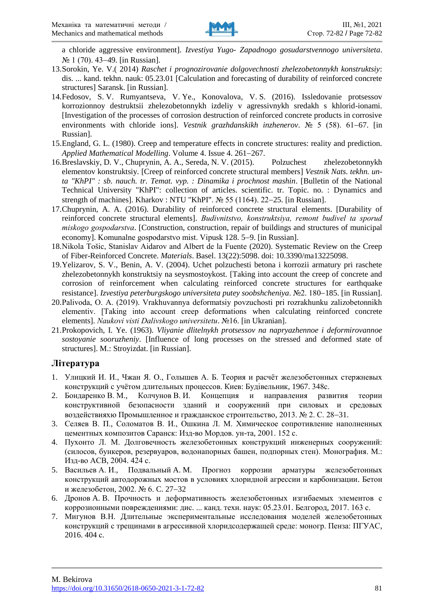

a chloride aggressive environment]. *Izvestiya Yugo- Zapadnogo gosudarstvennogo universiteta*.  $\mathcal{N}$ <sup>0</sup> 1 (70). 43–49. [in Russian].

- 13.Sorokin, Ye. V.( 2014) *Raschet i prognozirovanie dolgovechnosti zhelezobetonnykh konstruktsiy*: dis. ... kand. tekhn. nauk: 05.23.01 [Calculation and forecasting of durability of reinforced concrete structures] Saransk. [in Russian].
- 14.Fedosov, S. V. Rumyantseva, V. Ye., Konovalova, V. S. (2016). Issledovanie protsessov korrozionnoy destruktsii zhelezobetonnykh izdeliy v agressivnykh sredakh s khlorid-ionami. [Investigation of the processes of corrosion destruction of reinforced concrete products in corrosive environments with chloride ions]. *Vestnik grazhdanskikh inzhenerov*.  $N_2$  5 (58). 61–67. [in Russian].
- 15.England, G. L. (1980). Creep and temperature effects in concrete structures: reality and prediction. Applied Mathematical Modelling. Volume 4. Issue 4. 261-267.
- 16.Breslavskiy, D. V., Chuprynin, A. A., Sereda, N. V. (2015). Polzuchest zhelezobetonnykh elementov konstruktsiy. [Creep of reinforced concrete structural members] *Vestnik Nats. tekhn. unta "KhPI" : sb. nauch. tr. Temat. vyp. : Dinamika i prochnost mashin*. [Bulletin of the National Technical University "KhPI": collection of articles. scientific. tr. Topic. no. : Dynamics and strength of machines]. Kharkov : NTU "KhPI".  $\mathcal{N}_2$  55 (1164). 22–25. [in Russian].
- 17.Chuprynin, A. A. (2016). Durability of reinforced concrete structural elements. [Durability of reinforced concrete structural elements]. *Budіvnitstvo, konstruktsіya, remont budіvel ta sporud mіskogo gospodarstva*. [Construction, construction, repair of buildings and structures of municipal economy]. Komunalne gospodarstvo mist. Vipusk 128. 5–9. [in Russian].
- 18.Nikola Tošiс, Stanislav Aidarov and Albert de la Fuente (2020). Systematic Review on the Creep of Fiber-Reinforced Concrete. *Materials*. Basel. 13(22):5098. doi: 10.3390/ma13225098.
- 19.Yelizarov, S. V., Benin, A. V. (2004). Uchet polzuchesti betona i korrozii armatury pri raschete zhelezobetonnykh konstruktsiy na seysmostoykost. [Taking into account the creep of concrete and corrosion of reinforcement when calculating reinforced concrete structures for earthquake resistance]. *Izvestiya peterburgskogo universiteta putey soobshcheniya*.  $N<sub>2</sub>$ . 180–185. [in Russian].
- 20.Palivoda, O. A. (2019). Vrakhuvannya deformatsіy povzuchostі pri rozrakhunku zalіzobetonnikh elementіv. [Taking into account creep deformations when calculating reinforced concrete elements]. *Naukovi visti Dalivskogo universitetu*. №16. [in Ukranian].
- 21.Prokopovich, I. Ye. (1963). *Vliyanie dlitelnykh protsessov na napryazhennoe i deformirovannoe sostoyanie sooruzheniy*. [Influence of long processes on the stressed and deformed state of structures]. M.: Stroyizdat. [in Russian].

## **Література**

- 1. Улицкий И. И., Чжан Я. О., Голышев А. Б. Теория и расчѐт железобетонных стержневых конструкций с учѐтом длительных процессов. Киев: Будівельник, 1967. 348с.
- 2. Бондаренко В. М., Колчунов В. И. Концепция и направления развития теории конструктивной безопасности зданий и сооружений при силовых и средовых воздействияхю Промышленное и гражданское строительство, 2013.  $N_2$  2. С. 28-31.
- 3. Селяев В. П., Соломатов В. И., Ошкина Л. М. Химическое сопротивление наполненных цементных композитов Саранск: Изд-во Мордов. ун-та, 2001. 152 с.
- 4. Пухонто Л. М. Долговечность железобетонных конструкций инженерных сооружений: (силосов, бункеров, резервуаров, водонапорных башен, подпорных стен). Монография. М.: Изд-во АСВ, 2004. 424 с.
- 5. Васильев А. И., Подвальный A. M. Прогноз коррозии арматуры железобетонных конструкций автодорожных мостов в условиях хлоридной агрессии и карбонизации. Бетон и железобетон, 2002. № 6. С. 27-32
- 6. Дронов A. B. Прочность и деформативность железобетонных изгибаемых элементов с коррозионными повреждениями: дис. ... канд. техн. наук: 05.23.01. Белгород, 2017. 163 с.
- 7. Мигунов В.Н. Длительные экспериментальные исследования моделей железобетонных конструкций с трещинами в агрессивной хлоридсодержащей среде: моногр. Пенза: ПГУАС, 2016. 404 с.